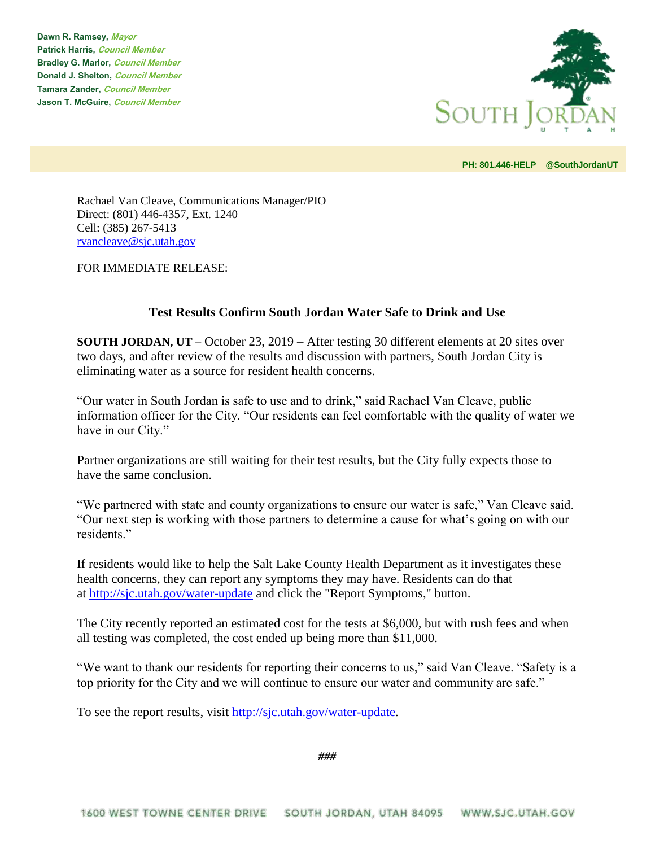**Dawn R. Ramsey, Mayor Patrick Harris, Council Member Bradley G. Marlor, Council Member Donald J. Shelton, Council Member Tamara Zander, Council Member Jason T. McGuire, Council Member**



**PH: 801.446-HELP @SouthJordanUT** 

Rachael Van Cleave, Communications Manager/PIO Direct: (801) 446-4357, Ext. 1240 Cell: (385) 267-5413 [rvancleave@sjc.utah.gov](mailto:rvancleave@sjc.utah.gov)

FOR IMMEDIATE RELEASE:

## **Test Results Confirm South Jordan Water Safe to Drink and Use**

**SOUTH JORDAN, UT –** October 23, 2019 – After testing 30 different elements at 20 sites over two days, and after review of the results and discussion with partners, South Jordan City is eliminating water as a source for resident health concerns.

"Our water in South Jordan is safe to use and to drink," said Rachael Van Cleave, public information officer for the City. "Our residents can feel comfortable with the quality of water we have in our City."

Partner organizations are still waiting for their test results, but the City fully expects those to have the same conclusion.

"We partnered with state and county organizations to ensure our water is safe," Van Cleave said. "Our next step is working with those partners to determine a cause for what's going on with our residents"

If residents would like to help the Salt Lake County Health Department as it investigates these health concerns, they can report any symptoms they may have. Residents can do that at <http://sjc.utah.gov/water-update> and click the "Report Symptoms," button.

The City recently reported an estimated cost for the tests at \$6,000, but with rush fees and when all testing was completed, the cost ended up being more than \$11,000.

"We want to thank our residents for reporting their concerns to us," said Van Cleave. "Safety is a top priority for the City and we will continue to ensure our water and community are safe."

To see the report results, visit [http://sjc.utah.gov/water-update.](http://sjc.utah.gov/water-update)

*###*